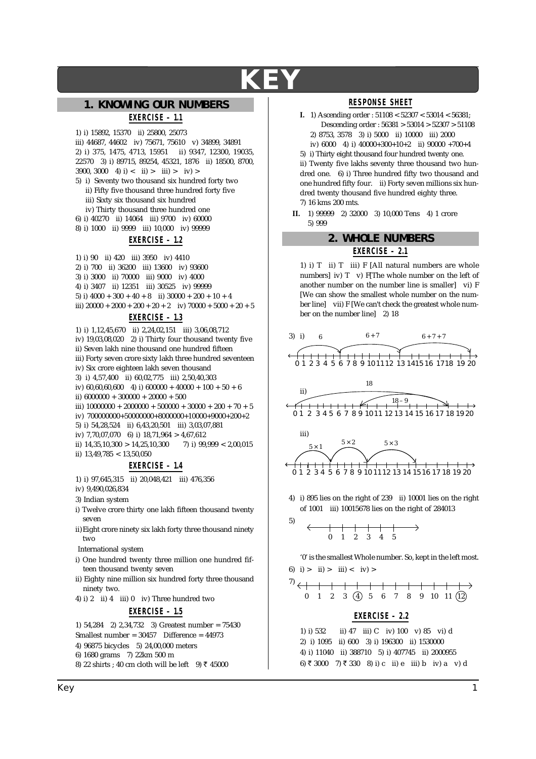# 1. KNOWING OUR NUMBERS

# EXERCISE - 1.1

1) i) 15892, 15370 ii) 25800, 25073 iii) 44687, 44602 iv) 75671, 75610 v) 34899, 34891 2) i) 375, 1475, 4713, 15951 ii) 9347, 12300, 19035, 22570 3) i) 89715, 89254, 45321, 1876 ii) 18500, 8700, 3900, 3000 4) i) < ii) > iii) > iv) >

- 5) i) Seventy two thousand six hundred forty two ii) Fifty five thousand three hundred forty five iii) Sixty six thousand six hundred
- iv) Thirty thousand three hundred one
- 6) i) 40270 ii) 14064 iii) 9700 iv) 60000
- 8) i) 1000 ii) 9999 iii) 10,000 iv) 99999

## EXERCISE - 1.2

1) i) 90 ii) 420 iii) 3950 iv) 4410 2) i) 700 ii) 36200 iii) 13600 iv) 93600 3) i) 3000 ii) 70000 iii) 9000 iv) 4000 4) i) 3407 ii) 12351 iii) 30525 iv) 99999 5) i)  $4000 + 300 + 40 + 8$  ii)  $30000 + 200 + 10 + 4$ iii)  $20000 + 2000 + 200 + 20 + 2$  iv)  $70000 + 5000 + 20 + 5$ 

#### EXERCISE - 1.3

1) i) 1,12,45,670 ii) 2,24,02,151 iii) 3,06,08,712 iv) 19,03,08,020 2) i) Thirty four thousand twenty five ii) Seven lakh nine thousand one hundred fifteen iii) Forty seven crore sixty lakh three hundred seventeen iv) Six crore eighteen lakh seven thousand 3) i) 4,57,400 ii) 60,02,775 iii) 2,50,40,303 iv)  $60,60,60,600$  4) i)  $600000 + 40000 + 100 + 50 + 6$ ii)  $6000000 + 300000 + 20000 + 500$ iii)  $10000000 + 2000000 + 500000 + 30000 + 200 + 70 + 5$ iv)  $700000000+50000000+8000000+10000+9000+200+2$ 5) i) 54.28.524 ii) 6.43.20.501 iii) 3.03.07.881 iv) 7,70,07,070 6) i) 18,71,964 > 4,67,612 ii)  $14,35,10,300 > 14,25,10,300$ 7) i)  $99,999 < 2,00,015$ ii)  $13,49,785 < 13,50,050$ 

### EXERCISE - 1.4

- 1) i) 97.645.315 ii) 20.048.421 iii) 476.356
- iv) 9.490.026.834
- 3) Indian system
- i) Twelve crore thirty one lakh fifteen thousand twenty seven
- ii) Eight crore ninety six lakh forty three thousand ninety two
- **International system**
- i) One hundred twenty three million one hundred fifteen thousand twenty seven
- ii) Eighty nine million six hundred forty three thousand ninety two.
- 4) i) 2 ii) 4 iii) 0 iv) Three hundred two

### **EXERCISE - 1.5**

1)  $54,284$  2)  $2,34,732$  3) Greatest number = 75430

- Smallest number =  $30457$  Difference =  $44973$
- 4) 96875 bicycles 5) 24.00.000 meters 6) 1680 grams 7) 22km 500 m
- 8) 22 shirts ; 40 cm cloth will be left 9) ₹ 45000

#### **RESPONSE SHEET**

I. 1) Ascending order :  $51108 < 52307 < 53014 < 56381$ ; Descending order: 56381 > 53014 > 52307 > 51108 2) 8753, 3578 3) i) 5000 ii) 10000 iii) 2000 iv) 6000 4) i)  $40000+300+10+2$  ii)  $90000+700+4$ 5) i) Thirty eight thousand four hundred twenty one.

ii) Twenty five lakhs seventy three thousand two hundred one. 6) i) Three hundred fifty two thousand and one hundred fifty four. ii) Forty seven millions six hundred twenty thousand five hundred eighty three. 7) 16 kms 200 mts.

II. 1) 99999 2) 32000 3) 10,000 Tens 4) 1 crore 5) 999

#### 2. WHOLE NUMBERS

### EXERCISE - 2.1

1) i) T ii) T iii) F [All natural numbers are whole numbers  $|iv(T)T|$  iv) F[The whole number on the left of another number on the number line is smaller  $|$  vi) F [We can show the smallest whole number on the number line] vii) F [We can't check the greatest whole number on the number line 2) 18









4) i) 895 lies on the right of 239 ii) 10001 lies on the right of 1001 iii) 10015678 lies on the right of 284013

$$
\begin{array}{c|cccc}\n5) & \longleftarrow & & & \\
\hline\n0 & 1 & 2 & 3 & 4 & 5 \\
\end{array}
$$

'0' is the smallest Whole number. So, kept in the left most. 6) i) > ii) > iii) < iv) >

$$
\begin{array}{c|cccc}\n7) & & & & \\
\leftarrow & & & & \\
0 & 1 & 2 & 3 & (4) & 5 & 6 & 7 & 8 & 9 & 10 & 11 & (12)\n\end{array}
$$

#### EXERCISE - 2.2

ii) 47 iii) C iv) 100 v) 85 vi) d  $1)$  i) 532 2) i) 1095 ii) 600 3) i) 196300 ii) 1530000 4) i) 11040 ii) 388710 5) i) 407745 ii) 2000955 6) ₹3000 7) ₹330 8) i) c ii) e iii) b iv) a v) d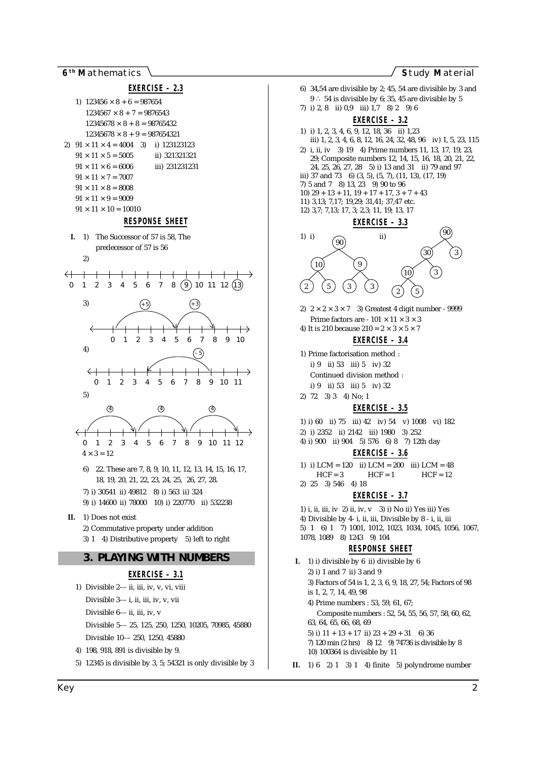6<sup>th</sup> Mathematics

 $HCF = 12$ 



II.  $1) 6 21 31 4$  finite 5) polyndrome number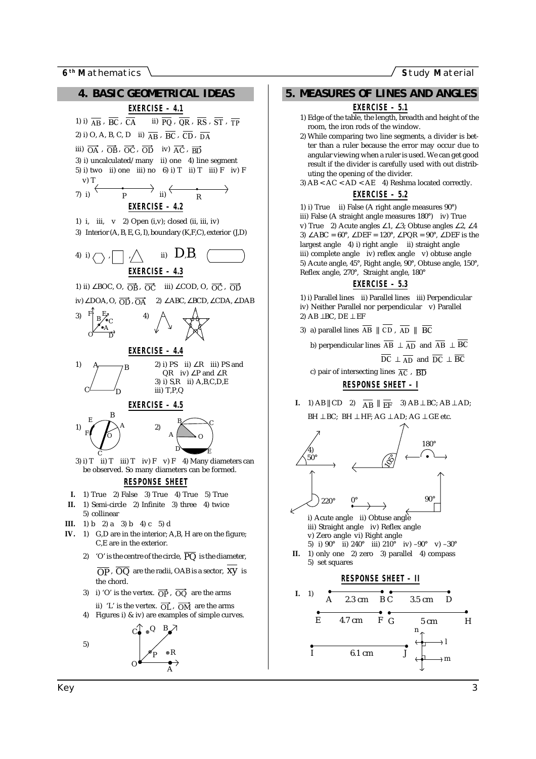**6<sup>th</sup>** Mathematics **S**tudy **Material Study Material Study Material** 



 $0 \longrightarrow A$ 

### **5. MEASURES OF LINES AND ANGLES**

#### **EXERCISE – 5.1**

- 1) Edge of the table, the length, breadth and height of the room, the iron rods of the window.
- 2) While comparing two line segments, a divider is better than a ruler because the error may occur due to angular viewing when a ruler is used. We can get good result if the divider is carefully used with out distributing the opening of the divider.
- 3)  $AB < AC < AD < AE$  4) Reshma located correctly. **EXERCISE – 5.2**

#### 1) i) True ii) False (A right angle measures 90°) iii) False (A straight angle measures 180°) iv) True v) True 2) Acute angles ∠1, ∠3; Obtuse angles ∠2, ∠4 3) ∠ABC =  $60^\circ$ , ∠DEF =  $120^\circ$ , ∠PQR =  $90^\circ$ , ∠DEF is the largest angle 4) i) right angle ii) straight angle iii) complete angle iv) reflex angle v) obtuse angle 5) Acute angle, 45°, Right angle, 90°, Obtuse angle, 150°, Reflex angle, 270°, Straight angle, 180°

#### **EXERCISE – 5.3**

1) i) Parallel lines ii) Parallel lines iii) Perpendicular iv) Neither Parallel nor perpendicular v) Parallel 2) AB ⊥BC, DE ⊥ EF

3) a) parallel lines  $AB \parallel CD$ ,  $AD \parallel BC$ 

b) perpendicular lines  $AB \perp AD$  and  $AB \perp BC$  $DC \perp AD$  and  $DC \perp BC$ 

c) pair of intersecting lines  $\overline{AC}$  ,  $\overline{BD}$ 

**RESPONSE SHEET – I**

**I.** 1) AB  $||CD \t2$   $\overline{AB} || \overline{EF}$  3) AB  $\perp BC$ ; AB  $\perp AD$ ;  $BH \perp BC$ ;  $BH \perp HF$ ;  $AG \perp AD$ ;  $AG \perp GE$  etc.



 $\overline{I}$  6.1 cm

m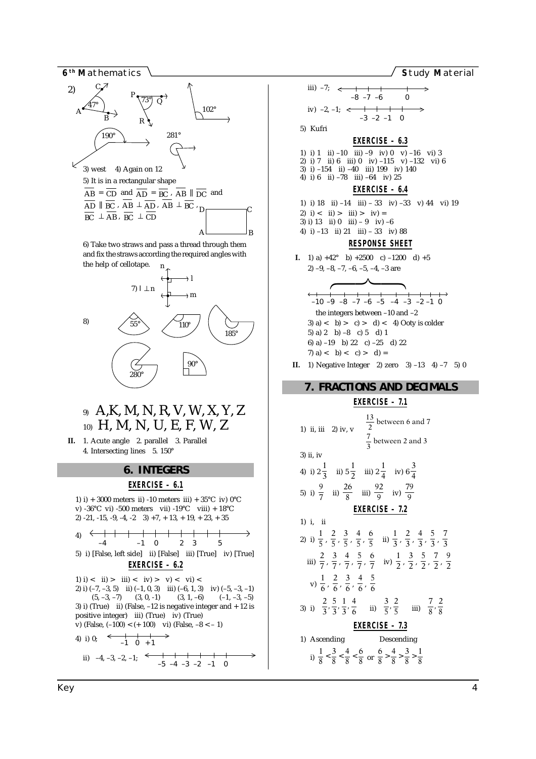

and fix the straws according the required angles with the help of cellotape. n



# 9) A,K, M, N, R, V, W, X, Y, Z 10) H, M, N, U, E, F, W, Z

**II.** 1. Acute angle 2. parallel 3. Parallel 4. Intersecting lines 5. 150°

#### **6. INTEGERS**

#### **EXERCISE – 6.1**

1) i) + 3000 meters ii) -10 meters iii) +  $35^{\circ}$ C iv) 0<sup>°</sup>C v) -36°C vi) -500 meters vii) -19°C viii) + 18°C 2)  $-21, -15, -9, -4, -2$  3)  $+7, +13, +19, +23, +35$ 4) 5) i) [False, left side] ii) [False] iii) [True] iv) [True] **EXERCISE – 6.2** 1) i) < ii) > iii) < iv) > v) < vi) < 2) i)  $(-7, -3, 5)$  ii)  $(-1, 0, 3)$  iii)  $(-6, 1, 3)$  iv)  $(-5, -3, -1)$ <br> $(5, -3, -7)$   $(3, 0, -1)$   $(3, 1, -6)$   $(-1, -3, -5)$  $(5, -3, -7)$   $(3, 0, -1)$ 3) i) (True) ii) (False,  $-12$  is negative integer and  $+12$  is positive integer) iii) (True) iv) (True) v) (False,  $(-100) < (+100)$  vi) (False,  $-8 < -1$ ) 4) i) 0;  $\begin{array}{|c|c|c|c|c|c|c|c|} \hline -1 & 0 & +1 \ \hline \end{array}$ ii)  $-4, -3, -2, -1;$  $\leftarrow$   $-4$   $-1$  0 2 3 5

iii) –7; iv)  $-2, -1; \leq$ 5) Kufri **EXERCISE – 6.3** 1) i) 1 ii) –10 iii) –9 iv) 0 v) –16 vi) 3 2) i) 7 ii) 6 iii) 0 iv) –115 v) –132 vi) 6 3) i) –154 ii) –40 iii) 199 iv) 140 4) i) 6 ii)  $-78$  iii)  $-64$  iv)  $25$ **EXERCISE – 6.4** 1) i) 18 ii) –14 iii) – 33 iv) –33 v) 44 vi) 19 2) i) < ii) > iii) > iv) = 3) i) 13 ii)  $0$  iii)  $-9$  iv)  $-6$ 4) i) –13 ii) 21 iii) – 33 iv) 88 **RESPONSE SHEET I.** 1) a)  $+42^{\circ}$  b)  $+2500$  c)  $-1200$  d)  $+5$ 2)  $-9, -8, -7, -6, -5, -4, -3$  are the integers between –10 and –2 3) a)  $\langle$  b)  $> c$   $\rangle$   $> d$   $\langle$  4) Ooty is colder 5) a) 2 b)  $-8$  c) 5 d) 1 6) a) –19 b) 22 c) –25 d) 22 7) a)  $\langle$  b)  $\langle$  c)  $\rangle$  d) = **II.** 1) Negative Integer 2) zero  $3$  –13 4) –7 5) 0 **7. FRACTIONS AND DECIMALS EXERCISE – 7.1** 1) ii, iii 2) iv, v  $\left|\frac{13}{2}\right|$  between 6 and 7  $\begin{bmatrix} 3 & & & \end{bmatrix}$  $\frac{13}{2}$  between 6 and 7  $\frac{7}{3}$  between 2 and 3 3) ii, iv 4) i)  $2\frac{1}{3}$  ii)  $5\frac{1}{2}$  iii)  $2\frac{1}{4}$  iv)  $6\frac{3}{4}$  $\overline{\mathcal{L}}$ 5) i)  $\frac{9}{7}$  ii)  $\frac{26}{8}$  iii)  $\frac{92}{9}$  iv)  $\frac{79}{9}$ 9 **EXERCISE – 7.2** 1) i, ii 2) i)  $\frac{1}{5}$ ,  $\frac{2}{5}$ ,  $\frac{3}{5}$ ,  $\frac{4}{5}$ ,  $\frac{6}{5}$  ii)  $\frac{1}{3}$ ,  $\frac{2}{3}$ ,  $\frac{4}{3}$ ,  $\frac{5}{3}$ ,  $\frac{7}{3}$ 3 iii)  $\frac{2}{7}, \frac{3}{7}, \frac{4}{7}, \frac{5}{7}, \frac{6}{7}$  iv)  $\frac{1}{2}, \frac{3}{2}, \frac{5}{2}, \frac{7}{2}, \frac{9}{2}$ v)  $\frac{1}{6}$ ,  $\frac{2}{6}$ ,  $\frac{3}{6}$ ,  $\frac{4}{6}$ ,  $\frac{5}{6}$ 3) i)  $\left(\frac{2}{3}, \frac{5}{3}, \frac{1}{3}, \frac{4}{6}\right)$  ii)  $\left(\frac{3}{5}, \frac{2}{5}\right)$  iii)  $\left(\frac{7}{8}, \frac{2}{8}\right)$ –10 –9 –8 –7 –6 –5 –4 –3 –2 –1 0  $\overbrace{\hspace{2.5cm}}^{2}$  $\begin{array}{c} \hline \end{array}$ –8 –7 –6 0 –3 –2 –1 0

**EXERCISE – 7.3** 1) Ascending Descending i)  $\frac{1}{8} < \frac{3}{8} < \frac{4}{8} < \frac{6}{8}$  or  $\frac{6}{8} > \frac{4}{8} > \frac{3}{8} > \frac{1}{8}$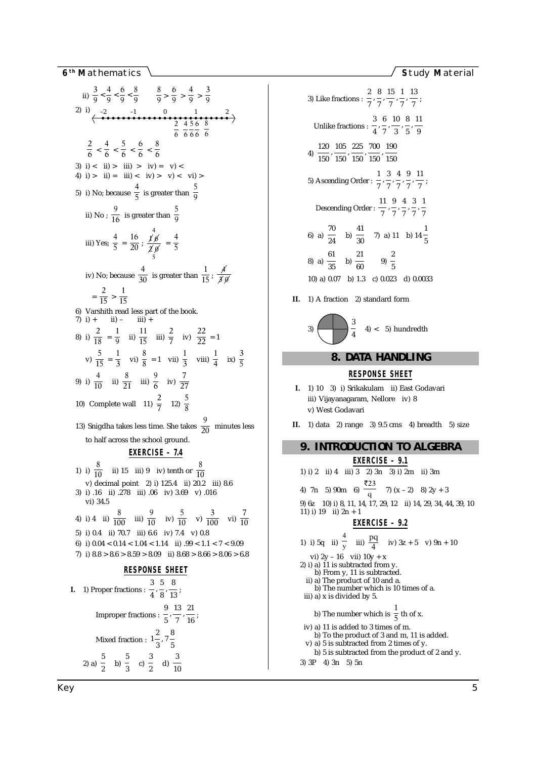Study Material

ii) 
$$
\frac{3}{9} < \frac{4}{9} < \frac{6}{9} < \frac{8}{9}
$$
  $\frac{8}{9} > \frac{6}{9} > \frac{4}{9} > \frac{3}{9}$   
\n2) i)  $\frac{2}{3} \n23.10 - 20 \n24.11 - 0.12 = 1.11$   $\frac{2}{6} \n25.11 - 0.11 = 1.11$   $\times$  1.11 = 1.12 = 1.13 = 1.14 = 1.14 = 1.14 = 1.14 = 1.14 = 1.14 = 1.14 = 1.14 = 1.14 = 1.14 = 1.14 = 1.14 = 1.14 = 1.14 = 1.14 = 1.14 = 1.14 = 1.14 = 1.14 = 1.14 = 1.14 = 1.14 = 1.14 = 1.14 = 1.14 = 1.14 = 1.14 = 1.14 = 1.14 = 1.14 = 1.14 = 1.14 = 1.14 = 1.14 = 1.14 = 1.14 = 1.14 = 1.14 = 1.14 = 1.14 = 1.14 = 1.14 = 1.14 = 1.14 = 1.14 = 1.14 = 1.14 = 1.14 = 1.14 = 1.14 = 1.14 = 1.14 = 1.14 = 1.14 = 1.14 = 1.14 = 1.14 = 1.14 = 1.14 = 1.14 = 1.14 = 1.14 = 1.14 = 1.14 = 1.14 = 1.14 = 1.14 = 1.14 = 1.14 = 1.14 = 1.14 = 1.14 = 1.14 = 1.14 = 1.14 = 1.14 = 1.14 = 1.14 = 1.14 = 1.14 = 1.14 = 1.14 = 1.14 = 1.14 = 1.14 = 1.14 = 1.14 = 1.14 = 1.14 = 1.14 = 1.14 = 1.14 = 1.14 = 1.14 = 1.14 = 1.14 = 1.14

3) Like fractions :  $\frac{2}{7}, \frac{8}{7}, \frac{15}{7}, \frac{1}{7}, \frac{13}{7}$ ; Unlike fractions :  $\frac{3}{4}$ ,  $\frac{6}{7}$ ,  $\frac{10}{3}$ ,  $\frac{8}{5}$ ,  $\frac{11}{9}$ 4)  $\frac{120}{150}, \frac{105}{150}, \frac{225}{150}, \frac{700}{150}, \frac{190}{150}$ 5) Ascending Order :  $\frac{1}{7}, \frac{3}{7}, \frac{4}{7}, \frac{9}{7}, \frac{11}{7}$ Descending Order :  $\frac{11}{7}, \frac{9}{7}, \frac{4}{7}, \frac{3}{7}, \frac{1}{7}$ 6) a)  $\frac{70}{24}$  b)  $\frac{41}{30}$  7) a) 11 b) 14  $\frac{1}{5}$ 8) a)  $\frac{61}{35}$  b)  $\frac{21}{60}$  9)  $\frac{2}{5}$ 10) a)  $0.07$  b) 1.3 c)  $0.023$  d)  $0.0033$ II. 1) A fraction 2) standard form



# 8. DATA HANDLING

### **RESPONSE SHEET**

- I. 1) 10 3) i) Srikakulam ii) East Godavari iii) Vijayanagaram, Nellore iv) 8 v) West Godavari
- II.  $1)$  data 2) range 3)  $9.5$  cms 4) breadth 5) size

```
9. INTRODUCTION TO ALGEBRA
                  EXERCISE - 9.1
1) i) 2 ii) 4 iii) 3 2) 3n 3) i) 2m ii) 3m
4) 7n 5) 90m 6) \frac{123}{9} 7) (x - 2) 8) 2y + 3
9) 6z 10) i) 8, 11, 14, 17, 29, 12 ii) 14, 29, 34, 44, 39, 10
11) i) 19 ii) 2n + 1EXERCISE - 9.21) i) 5q ii) \frac{4}{y} iii) \frac{pq}{4} iv) 3z + 5 v) 9n + 10
vi) 2y - 16 vii) 10y + x<br>2) i) a) 11 is subtracted from y.
     b) From y, 11 is subtracted.
  ii) a) The product of 10 and a.<br>b) The number which is 10 times of a.
 iii) a) x is divided by 5.
    b) The number which is \frac{1}{5} th of x.
 iv) a) 11 is added to 3 times of m.
    b) To the product of 3 and m, 11 is added.
  v) a) 5 is subtracted from 2 times of y.
     b) 5 is subtracted from the product of 2 and y.
3) 3P 4) 3n 5) 5n
```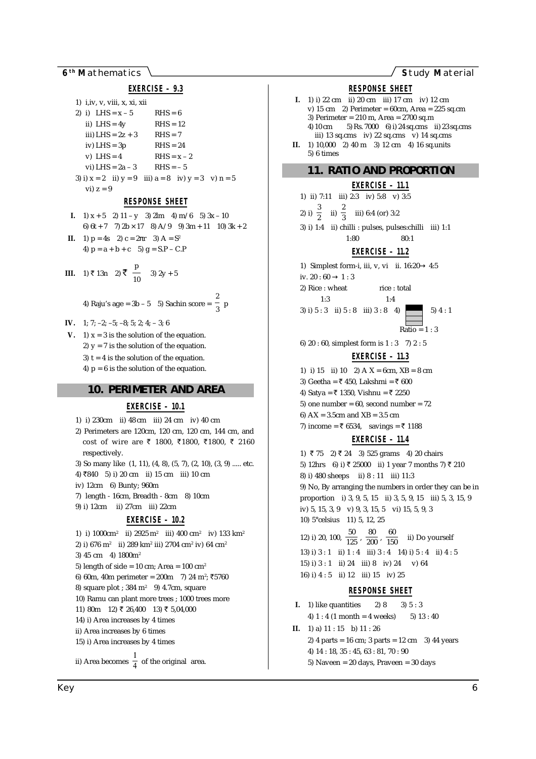6<sup>th</sup> Mathematics

Study Material



| <b>LALIVIUL</b> 1.0                                              |
|------------------------------------------------------------------|
| 1) $i$ , iv, v, viii, x, xi, xii                                 |
| 2) i) LHS = $x - 5$ RHS = 6                                      |
| ii) $LHS = 4y$ $RHS = 12$                                        |
| iii) LHS = $2z + 3$ RHS = 7                                      |
| iv) $LHS = 3p$<br>$RHS = 24$                                     |
| v) LHS = $4$<br>$RHS = x - 2$                                    |
| vi) LHS = $2a - 3$ RHS = $-5$                                    |
| 3) i) $x = 2$ ii) $y = 9$ iii) $a = 8$ iv) $y = 3$ v) $n = 5$    |
| $vi) z = 9$                                                      |
| RESPONSE SHEET                                                   |
| <b>I.</b> 1) $x + 5$ 2) 11 - y 3) 2 <i>k</i> m 4) m/6 5) 3x - 10 |
| 6) 6t + 7 7) 2b $\times$ 17 8) A/9 9) 3m + 11 10) 3k             |
| <b>II.</b> 1) $p = 4s$ 2) $c = 2\pi r$ 3) $A = S^2$              |
| 4) $p = a + b + c$ 5) $g = S.P - C.P$                            |
|                                                                  |
| <b>III.</b> 1) ₹ 13n 2) ₹ $\frac{p}{10}$ 3) 2y + 5               |

 $+2$ 

4) Raju's age = 3b - 5 5) Sachin score =  $\frac{2}{3}$  p

- IV. 1; 7; -2; -5; -8; 5; 2; 4; -3; 6
- V. 1)  $x = 3$  is the solution of the equation. 2)  $y = 7$  is the solution of the equation. 3)  $t = 4$  is the solution of the equation. 4)  $p = 6$  is the solution of the equation.

#### **10. PERIMETER AND AREA**

#### EXERCISE - 10.1

- 1) i)  $230cm$  ii)  $48cm$  iii)  $24cm$  iv)  $40cm$
- 2) Perimeters are 120cm, 120 cm, 120 cm, 144 cm, and cost of wire are ₹ 1800, ₹1800, ₹1800, ₹ 2160 respectively.
- 3) So many like (1, 11), (4, 8), (5, 7), (2, 10), (3, 9) ..... etc.
- 4) ₹840 5) i) 20 cm ii) 15 cm iii) 10 cm
- iv) 12cm 6) Bunty; 960m
- 7) length 16cm, Breadth 8cm 8) 10cm
- 9) i) 12cm ii) 27cm iii) 22cm

#### EXERCISE - 10.2

- 1) i)  $1000 \text{cm}^2$  ii)  $2925 \text{m}^2$  iii)  $400 \text{cm}^2$  iv)  $133 \text{ km}^2$ 2) i) 676 m<sup>2</sup> ii) 289 km<sup>2</sup> iii) 2704 cm<sup>2</sup> iv) 64 cm<sup>2</sup> 3) 45 cm 4) 1800m<sup>2</sup> 5) length of side =  $10 \text{ cm}$ ; Area =  $100 \text{ cm}^2$ 6) 60m, 40m perimeter = 200m 7) 24 m<sup>2</sup>; ₹5760
- 8) square plot ;  $384 \text{ m}^2$  9) 4.7cm, square
- 10) Ramu can plant more trees ; 1000 trees more
- 11) 80m 12) ₹ 26,400 13) ₹ 5,04,000
- 14) i) Area increases by 4 times
- ii) Area increases by 6 times
- 15) i) Area increases by 4 times
- ii) Area becomes  $\frac{1}{4}$  of the original area.

**RESPONSE SHEET** I. 1) i) 22 cm ii) 20 cm iii) 17 cm iv) 12 cm v) 15 cm 2) Perimeter =  $60cm$ . Area = 225 sq.cm 3) Perimeter =  $210$  m, Area =  $2700$  sq.m 4) 10 cm  $=$  5) Rs. 7000  $=$  6) i) 24 sq.cms ii) 23 sq.cms iii) 13 sq.cms iv) 22 sq.cms v) 14 sq.cms II. 1) 10,000 2) 40 m 3) 12 cm 4) 16 sq.units  $5)$  6 times **11. RATIO AND PROPORTION EXERCISE - 11.1** 

1) ii) 7:11 iii) 2:3 iv) 5:8 v) 3:5 2) i)  $\frac{3}{2}$  ii)  $\frac{2}{3}$  iii) 6:4 (or) 3:2 3) i) 1:4 ii) chilli : pulses, pulses: chilli iii) 1:1  $80:1$  $1.80$ EXERCISE - 11.2 1) Simplest form-i, iii, v, vi ii.  $16:20 \rightarrow 4:5$ iv. 20 : 60  $\rightarrow$  1 : 3 2) Rice: wheat rice: total  $1:3$  $1 \cdot 4$ 3) i)  $5:3$  ii)  $5:8$  iii)  $3:8$  4)  $5) 4:1$  $\overline{\text{Ratio}} = 1:3$ 6) 20:60, simplest form is 1:3 7) 2:5 EXERCISE - 11.3 1) i) 15 ii) 10 2) A  $X = 6$ cm,  $XB = 8$  cm 3) Geetha = ₹ 450, Lakshmi = ₹ 600 4) Satva = ₹ 1350. Vishnu = ₹ 2250 5) one number =  $60$ , second number =  $72$ 6)  $AX = 3.5cm$  and  $XB = 3.5cm$ 7) income = ₹ 6534, savings = ₹ 1188 **EXERCISE - 11.4** 1) ₹ 75 2) ₹ 24 3) 525 grams 4) 20 chairs 5) 12hrs 6) i) ₹ 25000 ii) 1 year 7 months 7) ₹ 210 8) i) 480 sheeps ii) 8 : 11 iii) 11:3 9) No, By arranging the numbers in order they can be in proportion i) 3, 9, 5, 15 ii) 3, 5, 9, 15 iii) 5, 3, 15, 9 iv) 5, 15, 3, 9 v) 9, 3, 15, 5 vi) 15, 5, 9, 3 10) 5° celsius 11) 5, 12, 25 12) i) 20, 100,  $\frac{50}{125}$ ,  $\frac{80}{200}$ ,  $\frac{60}{150}$ ii) Do yourself 13) i)  $3:1$  ii)  $1:4$  iii)  $3:4$  14) i)  $5:4$  ii)  $4:5$ 15) i)  $3:1$  ii)  $24$  iii)  $8$  iv)  $24$ v) 64 16) i) 4 : 5 ii) 12 iii) 15 iv) 25

#### **RESPONSE SHEET**

I. 1) like quantities  $2)8$  $3) 5 \cdot 3$ 4)  $1:4$  (1 month = 4 weeks) 5)  $13:40$ **II.** 1) a)  $11:15$  b)  $11:26$ 2) 4 parts = 16 cm; 3 parts = 12 cm 3) 44 years 4) 14:18, 35:45, 63:81, 70:90 5) Naveen =  $20$  days, Praveen =  $30$  days